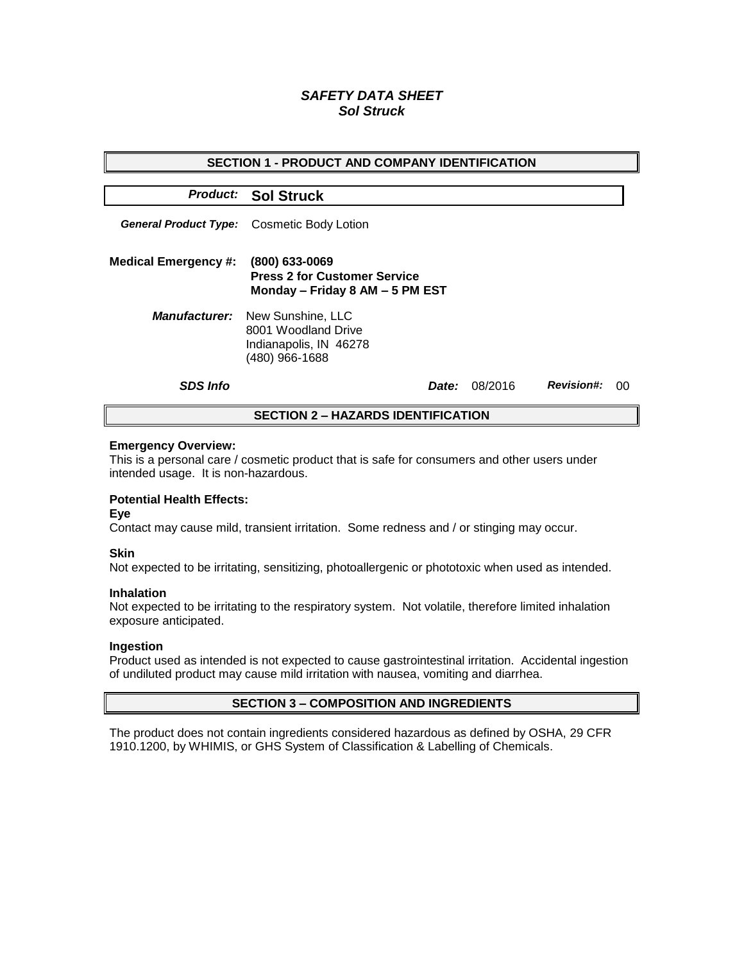# *SAFETY DATA SHEET Sol Struck*

| <b>SECTION 1 - PRODUCT AND COMPANY IDENTIFICATION</b> |                                                                                                           |              |         |                   |    |  |
|-------------------------------------------------------|-----------------------------------------------------------------------------------------------------------|--------------|---------|-------------------|----|--|
|                                                       | <b>Product: Sol Struck</b>                                                                                |              |         |                   |    |  |
| <b>General Product Type:</b>                          | Cosmetic Body Lotion                                                                                      |              |         |                   |    |  |
| <b>Medical Emergency #:</b>                           | (800) 633-0069<br><b>Press 2 for Customer Service</b><br>Monday - Friday 8 AM - 5 PM EST                  |              |         |                   |    |  |
|                                                       | <b>Manufacturer:</b> New Sunshine, LLC<br>8001 Woodland Drive<br>Indianapolis, IN 46278<br>(480) 966-1688 |              |         |                   |    |  |
| <b>SDS Info</b>                                       |                                                                                                           | <i>Date:</i> | 08/2016 | <b>Revision#:</b> | 00 |  |
| <b>SECTION 2 - HAZARDS IDENTIFICATION</b>             |                                                                                                           |              |         |                   |    |  |

#### **Emergency Overview:**

This is a personal care / cosmetic product that is safe for consumers and other users under intended usage. It is non-hazardous.

### **Potential Health Effects:**

**Eye**

Contact may cause mild, transient irritation. Some redness and / or stinging may occur.

#### **Skin**

Not expected to be irritating, sensitizing, photoallergenic or phototoxic when used as intended.

#### **Inhalation**

Not expected to be irritating to the respiratory system. Not volatile, therefore limited inhalation exposure anticipated.

### **Ingestion**

Product used as intended is not expected to cause gastrointestinal irritation. Accidental ingestion of undiluted product may cause mild irritation with nausea, vomiting and diarrhea.

### **SECTION 3 – COMPOSITION AND INGREDIENTS**

The product does not contain ingredients considered hazardous as defined by OSHA, 29 CFR 1910.1200, by WHIMIS, or GHS System of Classification & Labelling of Chemicals.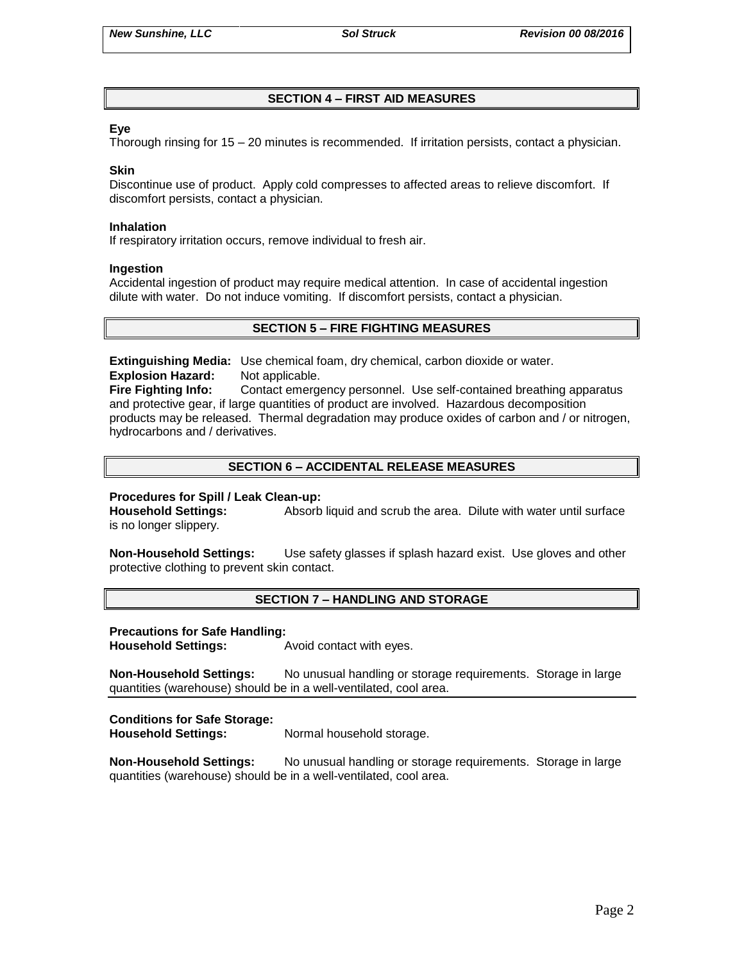# **SECTION 4 – FIRST AID MEASURES**

### **Eye**

Thorough rinsing for 15 – 20 minutes is recommended. If irritation persists, contact a physician.

### **Skin**

Discontinue use of product. Apply cold compresses to affected areas to relieve discomfort. If discomfort persists, contact a physician.

### **Inhalation**

If respiratory irritation occurs, remove individual to fresh air.

### **Ingestion**

Accidental ingestion of product may require medical attention. In case of accidental ingestion dilute with water. Do not induce vomiting. If discomfort persists, contact a physician.

# **SECTION 5 – FIRE FIGHTING MEASURES**

**Extinguishing Media:** Use chemical foam, dry chemical, carbon dioxide or water. **Explosion Hazard:** Not applicable.

**Fire Fighting Info:** Contact emergency personnel. Use self-contained breathing apparatus and protective gear, if large quantities of product are involved. Hazardous decomposition products may be released. Thermal degradation may produce oxides of carbon and / or nitrogen, hydrocarbons and / derivatives.

# **SECTION 6 – ACCIDENTAL RELEASE MEASURES**

### **Procedures for Spill / Leak Clean-up:**

**Household Settings:** Absorb liquid and scrub the area. Dilute with water until surface is no longer slippery.

**Non-Household Settings:** Use safety glasses if splash hazard exist. Use gloves and other protective clothing to prevent skin contact.

# **SECTION 7 – HANDLING AND STORAGE**

### **Precautions for Safe Handling:**

**Household Settings:** Avoid contact with eyes.

**Non-Household Settings:** No unusual handling or storage requirements. Storage in large quantities (warehouse) should be in a well-ventilated, cool area.

# **Conditions for Safe Storage:**

**Household Settings:** Normal household storage.

**Non-Household Settings:** No unusual handling or storage requirements. Storage in large quantities (warehouse) should be in a well-ventilated, cool area.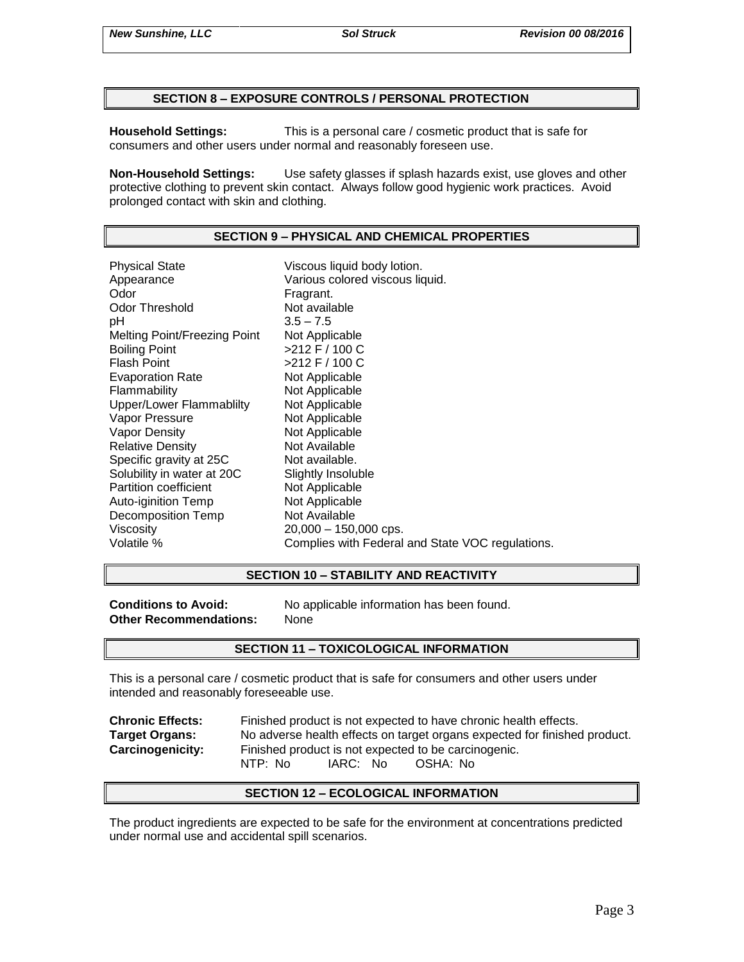### **SECTION 8 – EXPOSURE CONTROLS / PERSONAL PROTECTION**

**Household Settings:** This is a personal care / cosmetic product that is safe for consumers and other users under normal and reasonably foreseen use.

**Non-Household Settings:** Use safety glasses if splash hazards exist, use gloves and other protective clothing to prevent skin contact. Always follow good hygienic work practices. Avoid prolonged contact with skin and clothing.

### **SECTION 9 – PHYSICAL AND CHEMICAL PROPERTIES**

Physical State Viscous liquid body lotion. Appearance **Various colored viscous liquid.**<br>
Odor Communication Colore Fragrant. Odor Threshold Not available pH 3.5 – 7.5 Melting Point/Freezing Point Not Applicable Boiling Point >212 F / 100 C Flash Point  $>212$  F / 100 C Evaporation Rate Not Applicable Flammability Not Applicable Upper/Lower Flammablilty Not Applicable Vapor Pressure Not Applicable Vapor Density Not Applicable Relative Density Not Available Specific gravity at 25C Not available. Solubility in water at 20C Slightly Insoluble<br>
Partition coefficient
Subsetted Not Applicable Partition coefficient Auto-iginition Temp Not Applicable Decomposition Temp Not Available Viscosity 20,000 – 150,000 cps. Volatile % Complies with Federal and State VOC regulations.

### **SECTION 10 – STABILITY AND REACTIVITY**

**Other Recommendations:** None

**Conditions to Avoid:** No applicable information has been found.

### **SECTION 11 – TOXICOLOGICAL INFORMATION**

This is a personal care / cosmetic product that is safe for consumers and other users under intended and reasonably foreseeable use.

**Chronic Effects:** Finished product is not expected to have chronic health effects. **Target Organs:** No adverse health effects on target organs expected for finished product. **Carcinogenicity:** Finished product is not expected to be carcinogenic. NTP: No IARC: No OSHA: No

### **SECTION 12 – ECOLOGICAL INFORMATION**

The product ingredients are expected to be safe for the environment at concentrations predicted under normal use and accidental spill scenarios.